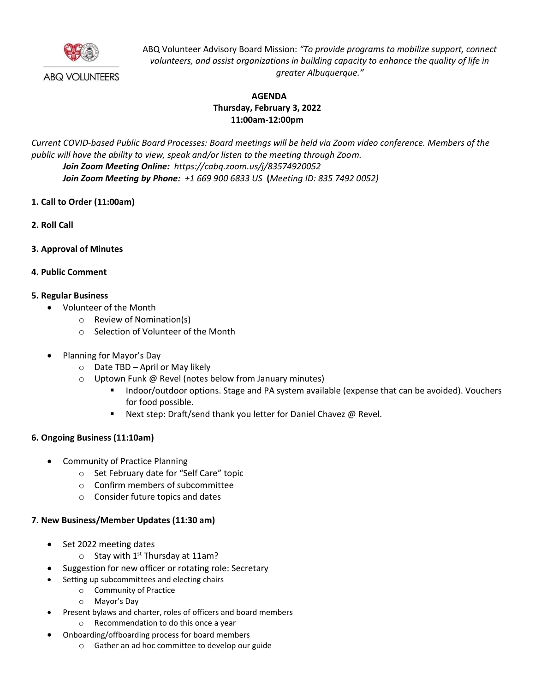

ABQ Volunteer Advisory Board Mission: *"To provide programs to mobilize support, connect volunteers, and assist organizations in building capacity to enhance the quality of life in greater Albuquerque."*

# **AGENDA Thursday, February 3, 2022 11:00am-12:00pm**

*Current COVID-based Public Board Processes: Board meetings will be held via Zoom video conference. Members of the public will have the ability to view, speak and/or listen to the meeting through Zoom. Join Zoom Meeting Online: https://cabq.zoom.us/j/83574920052 Join Zoom Meeting by Phone: +1 669 900 6833 US* **(***Meeting ID: 835 7492 0052)*

- **1. Call to Order (11:00am)**
- **2. Roll Call**
- **3. Approval of Minutes**
- **4. Public Comment**

## **5. Regular Business**

- Volunteer of the Month
	- o Review of Nomination(s)
	- o Selection of Volunteer of the Month
- Planning for Mayor's Day
	- o Date TBD April or May likely
	- o Uptown Funk @ Revel (notes below from January minutes)
		- Indoor/outdoor options. Stage and PA system available (expense that can be avoided). Vouchers for food possible.
		- Next step: Draft/send thank you letter for Daniel Chavez @ Revel.

### **6. Ongoing Business (11:10am)**

- Community of Practice Planning
	- o Set February date for "Self Care" topic
	- o Confirm members of subcommittee
	- o Consider future topics and dates

### **7. New Business/Member Updates (11:30 am)**

- Set 2022 meeting dates
	- $\circ$  Stay with 1<sup>st</sup> Thursday at 11am?
- Suggestion for new officer or rotating role: Secretary
- Setting up subcommittees and electing chairs
	- o Community of Practice
	- o Mayor's Day
- Present bylaws and charter, roles of officers and board members
	- o Recommendation to do this once a year
- Onboarding/offboarding process for board members
	- o Gather an ad hoc committee to develop our guide